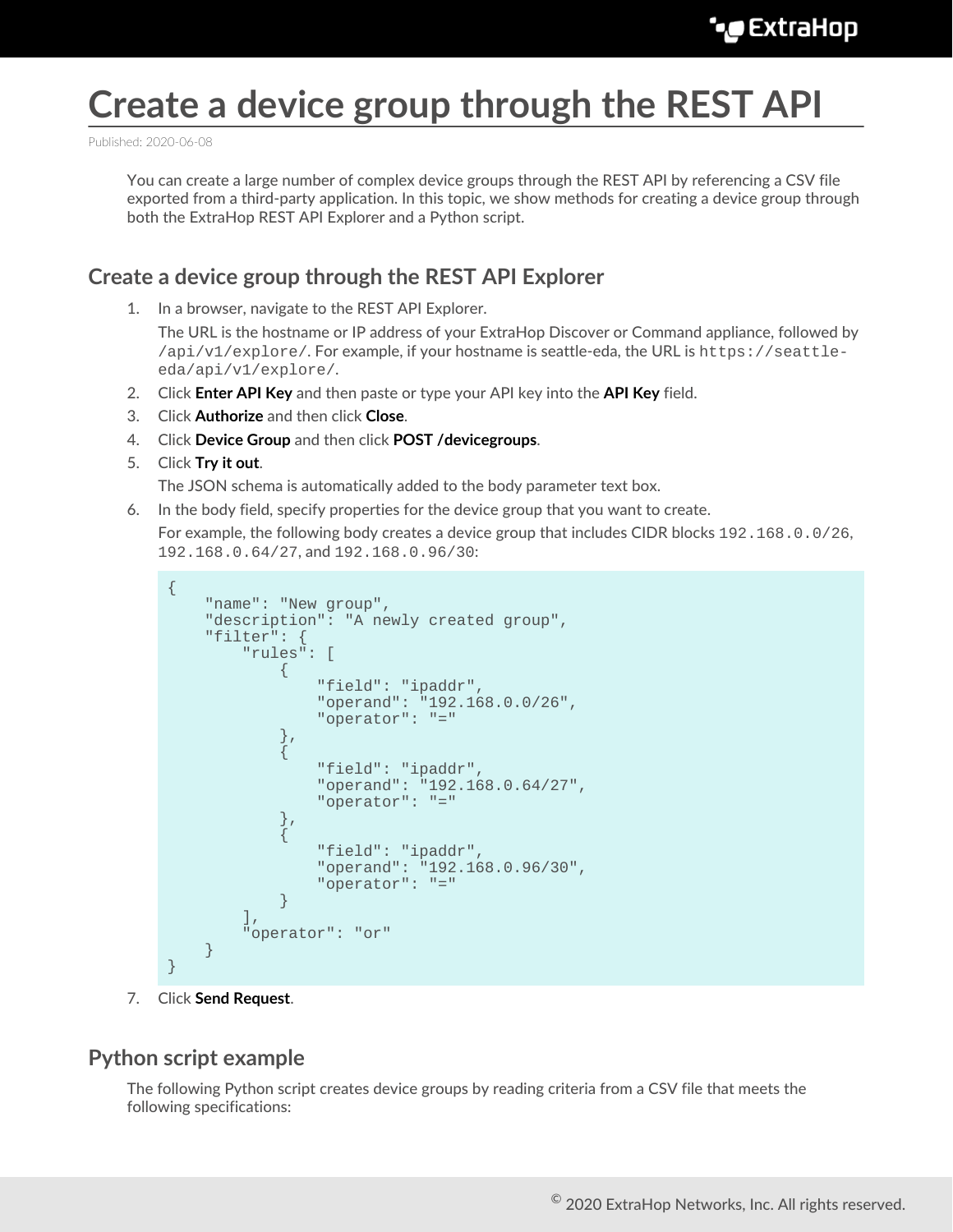## **Create a device group through the REST API**

Published: 2020-06-08

You can create a large number of complex device groups through the REST API by referencing a CSV file exported from a third-party application. In this topic, we show methods for creating a device group through both the ExtraHop REST API Explorer and a Python script.

## **Create a device group through the REST API Explorer**

1. In a browser, navigate to the REST API Explorer.

The URL is the hostname or IP address of your ExtraHop Discover or Command appliance, followed by /api/v1/explore/. For example, if your hostname is seattle-eda, the URL is https://seattleeda/api/v1/explore/.

- 2. Click **Enter API Key** and then paste or type your API key into the **API Key** field.
- 3. Click **Authorize** and then click **Close**.
- 4. Click **Device Group** and then click **POST /devicegroups**.
- 5. Click **Try it out**.

The JSON schema is automatically added to the body parameter text box.

6. In the body field, specify properties for the device group that you want to create.

For example, the following body creates a device group that includes CIDR blocks 192.168.0.0/26, 192.168.0.64/27, and 192.168.0.96/30:

```
{
     "name": "New group",
      "description": "A newly created group",
      "filter": {
           "rules": [
\left\{ \begin{array}{c} 0 & 0 \\ 0 & 0 \end{array} \right. "field": "ipaddr",
                      "operand": "192.168.0.0/26",
                      "operator": "="
\},
\left\{ \begin{array}{c} 0 & 0 \\ 0 & 0 \end{array} \right. "field": "ipaddr",
                      "operand": "192.168.0.64/27",
                      "operator": "="
\},
\left\{ \begin{array}{c} 0 & 0 \\ 0 & 0 \end{array} \right. "field": "ipaddr",
                      "operand": "192.168.0.96/30",
                 "operator": "="
 }
          \left| \right|,
           "operator": "or"
 }
}
```
7. Click **Send Request**.

## **Python script example**

The following Python script creates device groups by reading criteria from a CSV file that meets the following specifications: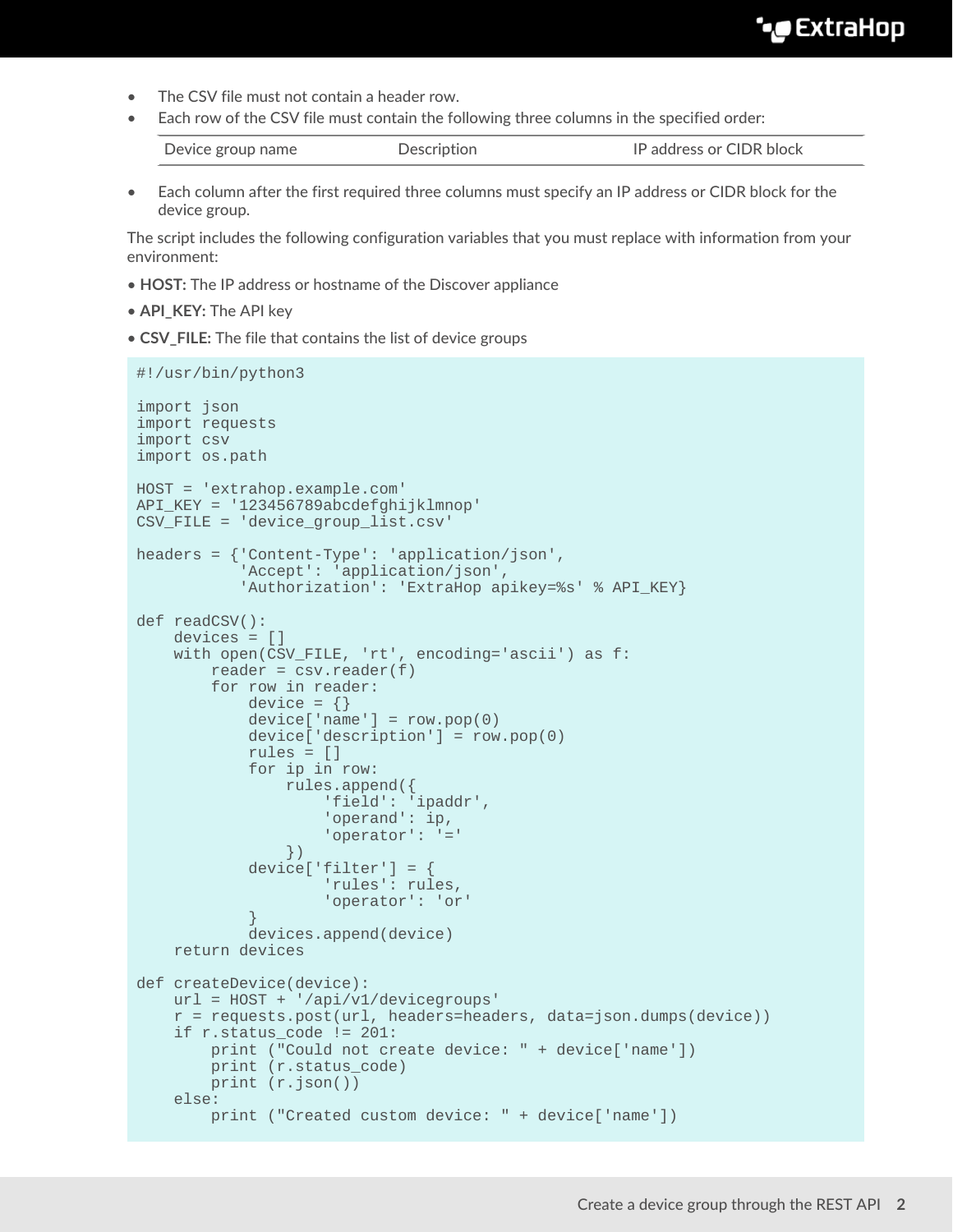- The CSV file must not contain a header row.
- Each row of the CSV file must contain the following three columns in the specified order:

Device group name **Description** Description **IP** address or CIDR block

• Each column after the first required three columns must specify an IP address or CIDR block for the device group.

The script includes the following configuration variables that you must replace with information from your environment:

- **HOST:** The IP address or hostname of the Discover appliance
- **API\_KEY:** The API key
- **CSV\_FILE:** The file that contains the list of device groups

```
#!/usr/bin/python3
import json
import requests
import csv
import os.path
HOST = 'extrahop.example.com'
API KEY = '123456789abcdefghijklmnop'
CSV_FILE = 'device_group_list.csv'
headers = {'Content-Type': 'application/json',
            'Accept': 'application/json',
           'Authorization': 'ExtraHop apikey=%s' % API_KEY}
def readCSV():
     devices = []
     with open(CSV_FILE, 'rt', encoding='ascii') as f:
        reader = csv.reader(f) for row in reader:
           device = \{\} device['name'] = row.pop(0)
             device['description'] = row.pop(0)
             rules = []
             for ip in row:
                 rules.append({
                     'field': 'ipaddr',
                      'operand': ip,
                      'operator': '='
                 })
             device['filter'] = {
                      'rules': rules,
                      'operator': 'or'
 }
             devices.append(device)
     return devices
def createDevice(device):
     url = HOST + '/api/v1/devicegroups'
     r = requests.post(url, headers=headers, data=json.dumps(device))
     if r.status_code != 201:
         print ("Could not create device: " + device['name'])
         print (r.status_code)
         print (r.json())
     else:
         print ("Created custom device: " + device['name'])
```